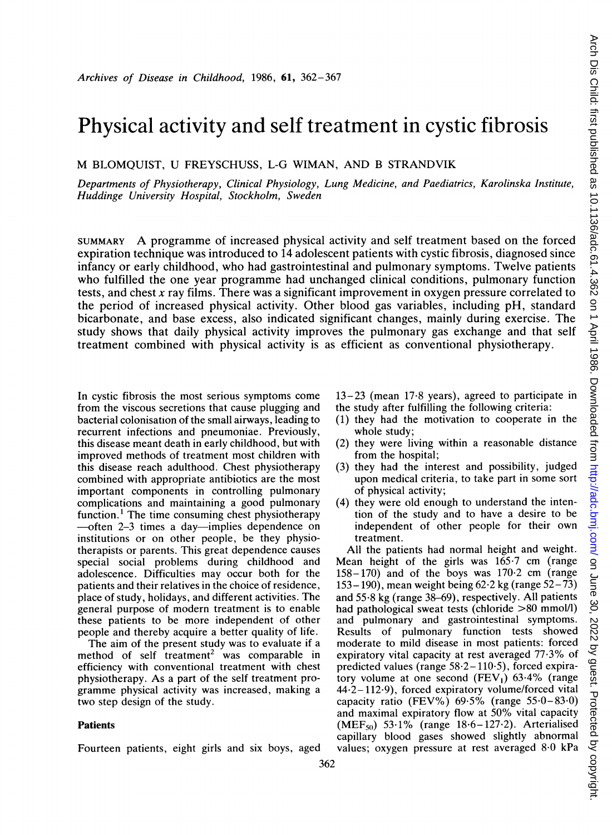# Physical activity and self treatment in cystic fibrosis

M BLOMQUIST, U FREYSCHUSS, L-G WIMAN, AND <sup>B</sup> STRANDVIK

Departments of Physiotherapy, Clinical Physiology, Lung Medicine, and Paediatrics, Karolinska Institute, Huddinge University Hospital, Stockholm, Sweden

SUMMARY A programme of increased physical activity and self treatment based on the forced expiration technique was introduced to 14 adolescent patients with cystic fibrosis, diagnosed since infancy or early childhood, who had gastrointestinal and pulmonary symptoms. Twelve patients who fulfilled the one year programme had unchanged clinical conditions, pulmonary function tests, and chest x ray films. There was a significant improvement in oxygen pressure correlated to the period of increased physical activity. Other blood gas variables, including pH, standard bicarbonate, and base excess, also indicated significant changes, mainly during exercise. The study shows that daily physical activity improves the pulmonary gas exchange and that self treatment combined with physical activity is as efficient as conventional physiotherapy.

In cystic fibrosis the most serious symptoms come from the viscous secretions that cause plugging and bacterial colonisation of the small airways, leading to recurrent infections and pneumoniae. Previously, this disease meant death in early childhood, but with improved methods of treatment most children with this disease reach adulthood. Chest physiotherapy combined with appropriate antibiotics are the most important components in controlling pulmonary complications and maintaining a good pulmonary function.<sup>1</sup> The time consuming chest physiotherapy -often 2-3 times a day-implies dependence on institutions or on other people, be they physiotherapists or parents. This great dependence causes special social problems during childhood and adolescence. Difficulties may occur both for the patients and their relatives in the choice of residence, place of study, holidays, and different activities. The general purpose of modern treatment is to enable these patients to be more independent of other people and thereby acquire a better quality of life.

The aim of the present study was to evaluate if a method of self treatment<sup>2</sup> was comparable in efficiency with conventional treatment with chest physiotherapy. As a part of the self treatment programme physical activity was increased, making a two step design of the study.

## **Patients**

Fourteen patients, eight girls and six boys, aged

13-23 (mean 17-8 years), agreed to participate in the study after fulfilling the following criteria:

- (1) they had the motivation to cooperate in the whole study;
- (2) they were living within a reasonable distance from the hospital;
- (3) they had the interest and possibility, judged upon medical criteria, to take part in some sort of physical activity;
- (4) they were old enough to understand the intention of the study and to have <sup>a</sup> desire to be independent of other people for their own treatment.

All the patients had normal height and weight. Mean height of the girls was 165-7 cm (range  $158-170$ ) and of the boys was  $170.2$  cm (range 153 – 190), mean weight being  $62.2$  kg (range  $52-73$ ) and 55 $\cdot$ 8 kg (range 38–69), respectively. All patients had pathological sweat tests (chloride >80 mmol/l) and pulmonary and gastrointestinal symptoms. Results of pulmonary function tests showed moderate to mild disease in most patients: forced expiratory vital capacity at rest averaged 77-3% of predicted values (range  $58.2-110.5$ ), forced expiratory volume at one second  $(FEV_1)$  63.4% (range 44 2-112.9), forced expiratory volume/forced vital capacity ratio (FEV%)  $69.5\%$  (range  $55.0-83.0$ ) and maximal expiratory flow at 50% vital capacity (MEF<sub>50</sub>) 53.1% (range  $18.6-127.2$ ). Arterialised capillary blood gases showed slightly abnormal values; oxygen pressure at rest averaged 8-0 kPa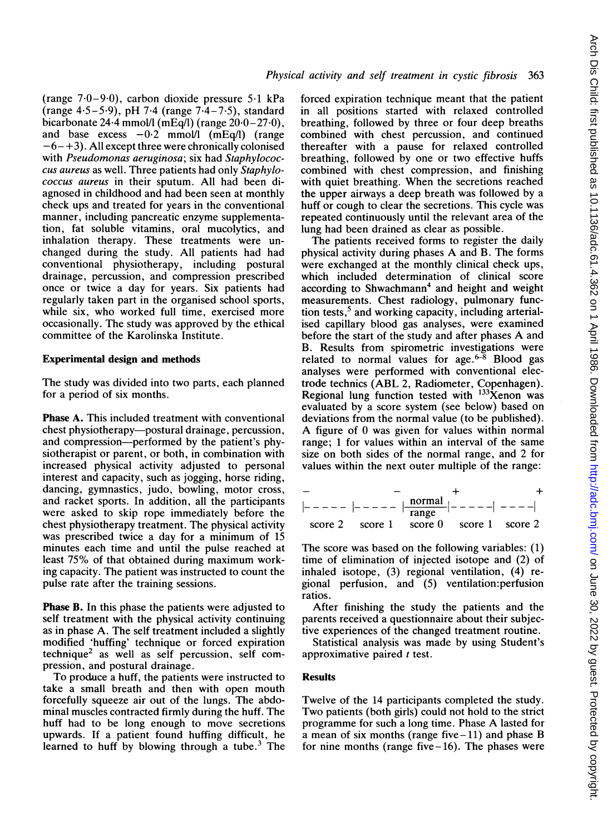(range 7-0-9-0), carbon dioxide pressure 5.1 kPa (range 4-5-5-9), pH 7-4 (range 7-4-7-5), standard bicarbonate 24 $\cdot$ 4 mmol/l (mEq/l) (range  $20 \cdot 0 - 27 \cdot 0$ ), and base excess  $-0.2$  mmol/l (mEq/l) (range  $-6-+3$ ). All except three were chronically colonised with Pseudomonas aeruginosa; six had Staphylococcus aureus as well. Three patients had only Staphylococcus aureus in their sputum. All had been diagnosed in childhood and had been seen at monthly check ups and treated for years in the conventional manner, including pancreatic enzyme supplementation, fat soluble vitamins, oral mucolytics, and inhalation therapy. These treatments were unchanged during the study. All patients had had conventional physiotherapy, including postural drainage, percussion, and compression prescribed once or twice a day for years. Six patients had regularly taken part in the organised school sports, while six, who worked full time, exercised more occasionally. The study was approved by the ethical committee of the Karolinska Institute.

### Experimental design and methods

The study was divided into two parts, each planned for a period of six months.

Phase A. This included treatment with conventional chest physiotherapy—postural drainage, percussion, and compression---performed by the patient's physiotherapist or parent, or both, in combination with increased physical activity adjusted to personal interest and capacity, such as jogging, horse riding, dancing, gymnastics, judo, bowling, motor cross, and racket sports. In addition, all the participants were asked to skip rope immediately before the chest physiotherapy treatment. The physical activity was prescribed twice a day for a minimum of 15 minutes each time and until the pulse reached at least 75% of that obtained during maximum working capacity. The patient was instructed to count the pulse rate after the training sessions.

Phase B. In this phase the patients were adjusted to self treatment with the physical activity continuing as in phase A. The self treatment included a slightly modified 'huffing' technique or forced expiration technique2 as well as self percussion, self compression, and postural drainage.

To produce a huff, the patients were instructed to take a small breath and then with open mouth forcefully squeeze air out of the lungs. The abdominal muscles contracted firmly during the huff. The huff had to be long enough to move secretions upwards. If a patient found huffing difficult, he learned to huff by blowing through a tube.<sup>3</sup> The forced expiration technique meant that the patient in all positions started with relaxed controlled breathing, followed by three or four deep breaths combined with chest percussion, and continued thereafter with a pause for relaxed controlled breathing, followed by one or two effective huffs combined with chest compression, and finishing with quiet breathing. When the secretions reached the upper airways a deep breath was followed by a huff or cough to clear the secretions. This cycle was repeated continuously until the relevant area of the lung had been drained as clear as possible.

The patients received forms to register the daily physical activity during phases A and B. The forms were exchanged at the monthly clinical check ups, which included determination of clinical score according to Shwachmann<sup>4</sup> and height and weight measurements. Chest radiology, pulmonary function tests, $5$  and working capacity, including arterialised capillary blood gas analyses, were examined before the start of the study and after phases A and B. Results from spirometric investigations were related to normal values for age. $6\overline{-8}$  Blood gas analyses were performed with conventional electrode technics (ABL 2, Radiometer, Copenhagen). Regional lung function tested with  $133$ Xenon was evaluated by a score system (see below) based on deviations from the normal value (to be published). A figure of <sup>0</sup> was given for values within normal range; <sup>1</sup> for values within an interval of the same size on both sides of the normal range, and 2 for values within the next outer multiple of the range:

|                                         |       | $\frac{1}{2}$ normal $\left  - - - - \right $ |  |
|-----------------------------------------|-------|-----------------------------------------------|--|
|                                         | range |                                               |  |
| score 2 score 1 score 0 score 1 score 2 |       |                                               |  |

The score was based on the following variables: (1) time of elimination of injected isotope and (2) of inhaled isotope, (3) regional ventilation, (4) regional perfusion, and (5) ventilation:perfusion ratios.

After finishing the study the patients and the parents received a questionnaire about their subjective experiences of the changed treatment routine.

Statistical analysis was made by using Student's approximative paired <sup>t</sup> test.

#### Results

Twelve of the 14 participants completed the study. Two patients (both girls) could not hold to the strict programme for such <sup>a</sup> long time. Phase A lasted for a mean of six months (range five $-11$ ) and phase B for nine months (range five $-16$ ). The phases were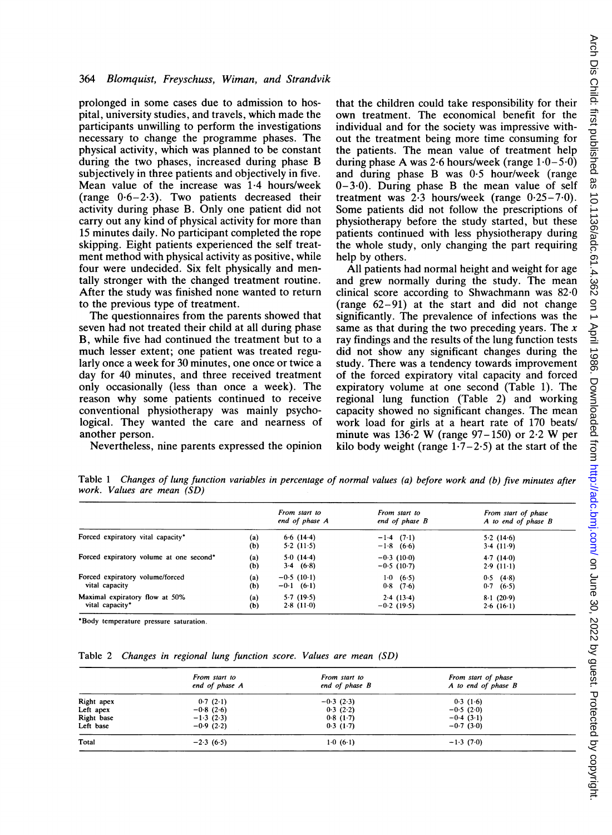prolonged in some cases due to admission to hospital, university studies, and travels, which made the participants unwilling to perform the investigations necessary to change the programme phases. The physical activity, which was planned to be constant during the two phases, increased during phase B subjectively in three patients and objectively in five. Mean value of the increase was 1.4 hours/week (range  $0.6-2.3$ ). Two patients decreased their activity during phase B. Only one patient did not carry out any kind of physical activity for more than <sup>15</sup> minutes daily. No participant completed the rope skipping. Eight patients experienced the self treatment method with physical activity as positive, while four were undecided. Six felt physically and mentally stronger with the changed treatment routine. After the study was finished none wanted to return to the previous type of treatment.

The questionnaires from the parents showed that seven had not treated their child at all during phase B, while five had continued the treatment but to a much lesser extent; one patient was treated regularly once a week for 30 minutes, one once or twice a day for 40 minutes, and three received treatment only occasionally (less than once a week). The reason why some patients continued to receive conventional physiotherapy was mainly psychological. They wanted the care and nearness of another person.

that the children could take responsibility for their own treatment. The economical benefit for the individual and for the society was impressive without the treatment being more time consuming for the patients. The mean value of treatment help during phase A was 2.6 hours/week (range  $1.0-5.0$ ) and during phase B was 0-5 hour/week (range  $0-3.0$ ). During phase B the mean value of self treatment was  $2-3$  hours/week (range  $0.25-7-0$ ). Some patients did not follow the prescriptions of physiotherapy before the study started, but these patients continued with less physiotherapy during the whole study, only changing the part requiring help by others.

All patients had normal height and weight for age and grew normally during the study. The mean clinical score according to Shwachmann was 82-0 (range 62-91) at the start and did not change significantly. The prevalence of infections was the same as that during the two preceding years. The  $x$ ray findings and the results of the lung function tests did not show any significant changes during the study. There was a tendency towards improvement of the forced expiratory vital capacity and forced expiratory volume at one second (Table 1). The regional lung function (Table 2) and working capacity showed no significant changes. The mean work load for girls at a heart rate of 170 beats/ minute was  $136.2$  W (range  $97-150$ ) or  $2.2$  W per kilo body weight (range  $1.7-2.5$ ) at the start of the

Nevertheless, nine parents expressed the opinion

Table <sup>1</sup> Changes of lung function variables in percentage of normal values (a) before work and (b) five minutes after work. Values are mean (SD)

|                                                   |            | From start to<br>end of phase A | From start to<br>end of phase B | From start of phase<br>A to end of phase B |
|---------------------------------------------------|------------|---------------------------------|---------------------------------|--------------------------------------------|
| Forced expiratory vital capacity*                 | (a)        | 6.6(14.4)                       | $-14(7-1)$                      | 5.2(14.6)                                  |
|                                                   | (b)        | 5.2(11.5)                       | $-1.8$ (6.6)                    | 3.4(11.9)                                  |
| Forced expiratory volume at one second*           | (a)        | $50(14-4)$                      | $-0.3(10.0)$                    | 4.7(14.0)                                  |
|                                                   | (b)        | 3.4(6.8)                        | $-0.5$ (10.7)                   | 2.9(11.1)                                  |
| Forced expiratory volume/forced<br>vital capacity | (a)<br>(b) | $-0.5(10.1)$<br>$-0.1$ (6.1)    | 1.0 (6.5)<br>$0.8$ (7.6)        | $0.5$ (4.8)<br>0.7<br>(6.5)                |
| Maximal expiratory flow at 50%                    | (a)        | 5.7(19.5)                       | 2.4(13.4)                       | 8.1(20.9)                                  |
| vital capacity*                                   | (b)        | 2.8(11.0)                       | $-0.2$ (19.5)                   | 2.6(16.1)                                  |

'Body temperature pressure saturation.

Table 2 Changes in regional lung function score. Values are mean (SD)

|            | From start to<br>end of phase A | From start to<br>end of phase B | From start of phase<br>A to end of phase B |
|------------|---------------------------------|---------------------------------|--------------------------------------------|
| Right apex | 0.7(2.1)                        | $-0.3(2.3)$                     | 0.3(1.6)                                   |
| Left apex  | $-0.8(2.6)$                     | 0.3(2.2)                        | $-0.5(2.0)$                                |
| Right base | $-1.3(2.3)$                     | 0.8(1.7)                        | $-0.4(3-1)$                                |
| Left base  | $-0.9(2.2)$                     | 0.3(1.7)                        | $-0.7(3.0)$                                |
| Total      | $-2.3(6.5)$                     | 1.0(6.1)                        | $-1.3(7.0)$                                |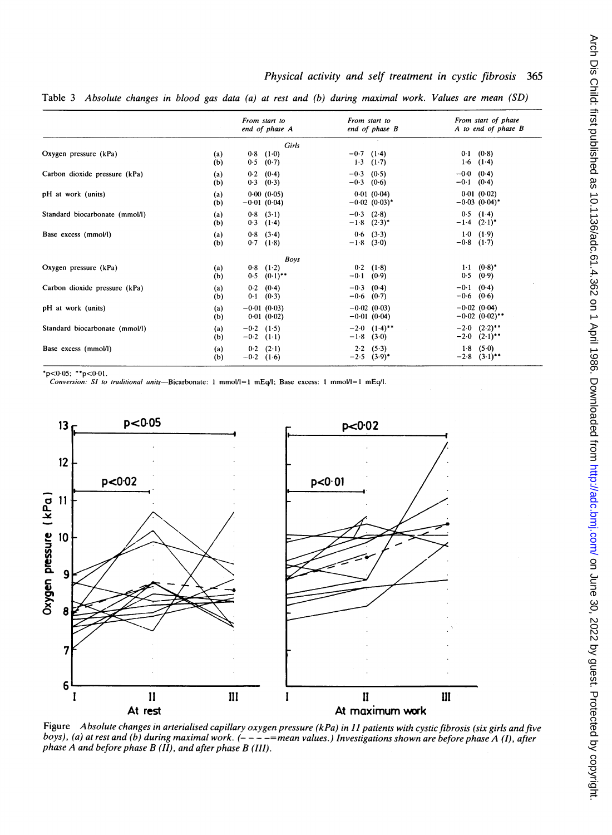|                                |            | From start to<br>end of phase A   | From start to<br>end of phase B | From start of phase<br>A to end of phase B |
|--------------------------------|------------|-----------------------------------|---------------------------------|--------------------------------------------|
|                                |            | Girls                             |                                 |                                            |
| Oxygen pressure (kPa)          | (a)        | $0.8$ $(1.0)$                     | $-0.7$ (1.4)                    | $0.1 \quad (0.8)$                          |
|                                | (b)        | $0.5$ $(0.7)$                     | $1.3$ $(1.7)$                   | $1.6$ $(1.4)$                              |
| Carbon dioxide pressure (kPa)  | (a)        | $0.2$ $(0.4)$                     | $-0.3$ (0.5)                    | $-0.0$ (0.4)                               |
|                                | (b)        | $0.3$ $(0.3)$                     | $-0.3$ (0.6)                    | $-0.1$ (0.4)                               |
| pH at work (units)             | (a)        | 0.00(0.05)                        | 0.01(0.04)                      | 0.01(0.02)                                 |
|                                | (b)        | $-0.01(0.04)$                     | $-0.02$ (0.03) <sup>*</sup>     | $-0.03$ $(0.04)^*$                         |
| Standard biocarbonate (mmol/l) | (a)        | $0.8$ $(3.1)$                     | $-0.3$ (2.8)                    | $0.5$ (1.4)                                |
|                                | (b)        | $0.3$ (1.4)                       | $-1.8$ $(2.3)^*$                | $-1.4$ $(2.1)^*$                           |
| Base excess (mmol/l)           | (a)        | $0.8$ $(3.4)$                     | $0.6$ $(3.3)$                   | 1.0(1.9)                                   |
|                                | (b)        | $0.7$ $(1.8)$                     | $-1.8$ (3.0)                    | $-0.8$ (1.7)                               |
|                                |            | <b>Boys</b>                       |                                 |                                            |
| Oxygen pressure (kPa)          | (a)<br>(b) | $0.8$ $(1.2)$<br>$0.5$ $(0.1)$ ** | $0.2$ $(1.8)$<br>$-0.1$ (0.9)   | $1.1 \quad (0.8)^*$<br>0.5<br>(0.9)        |
| Carbon dioxide pressure (kPa)  | (a)<br>(b) | 0.2<br>(0.4)<br>0.1<br>(0.3)      | $-0.3$ (0.4)<br>$-0.6$ (0.7)    | $-0.1$ (0.4)<br>$-0.6$ (0.6)               |
| pH at work (units)             | (a)        | $-0.01(0.03)$                     | $-0.02$ (0.03)                  | $-0.02$ (0.04)                             |
|                                | (b)        | 0.01(0.02)                        | $-0.01(0.04)$                   | $-0.02$ $(0.02)^{**}$                      |
| Standard biocarbonate (mmol/l) | (a)        | $-0.2$ (1.5)                      | $-2.0$ $(1.4)$ <sup>**</sup>    | $-2.0$ $(2.2)$ <sup>**</sup>               |
|                                | (b)        | $-0.2$ (1.1)                      | $-1.8$ (3.0)                    | $-2.0$ $(2.1)$ **                          |
| Base excess (mmol/l)           | (a)        | $0.2$ $(2.1)$                     | $2.2 \quad (5.3)$               | $1.8$ (5.0)                                |
|                                | (b)        | $-0.2$ (1.6)                      | $-2.5$ $(3.9)^*$                | $-2.8$ $(3.1)$ **                          |

Table <sup>3</sup> Absolute changes in blood gas data (a) at rest and (b) during maximal work. Values are mean (SD)

 $*p<0.05$ ;  $*p<0.01$ .

Conversion: SI to traditional units--Bicarbonate: 1 mmol/l=1 mEq/l; Base excess: 1 mmol/l=1 mEq/l.



Figure Absolute changes in arterialised capillary oxygen pressure (kPa) in 11 patients with cystic fibrosis (six girls and five boys), (a) at rest and (b) during maximal work.  $(- - - =$ mean values.) Investigations shown are before phase A (I), after phase A and before phase  $B$  (II), and after phase  $B$  (III).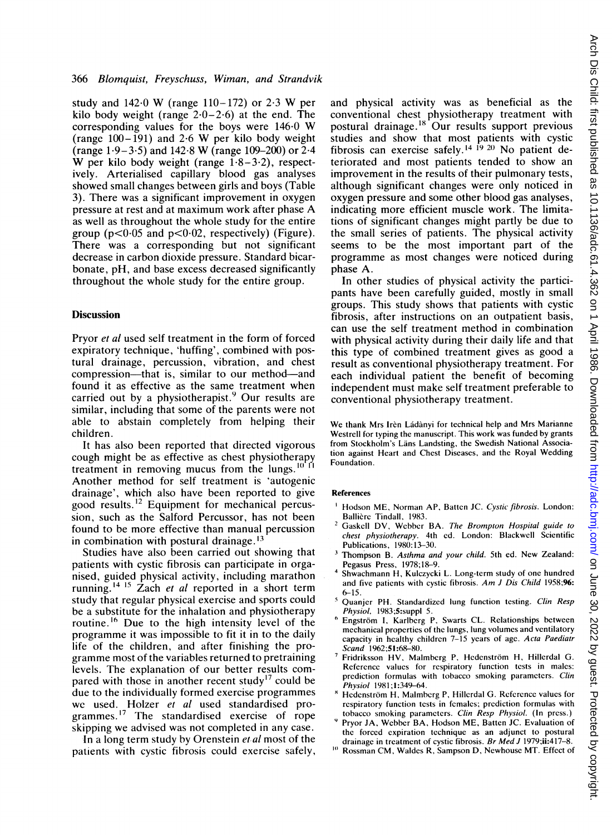study and  $142.0 \text{ W}$  (range  $110-172$ ) or  $2.3 \text{ W}$  per kilo body weight (range  $2.0-2.6$ ) at the end. The corresponding values for the boys were 146-0 W (range  $100 - 191$ ) and  $2.6$  W per kilo body weight (range  $1.9 - 3.5$ ) and  $142.8 \text{ W}$  (range 109–200) or  $2.4$ W per kilo body weight (range  $1.8-3.2$ ), respectively. Arterialised capillary blood gas analyses showed small changes between girls and boys (Table 3). There was a significant improvement in oxygen pressure at rest and at maximum work after phase A as well as throughout the whole study for the entire group ( $p < 0.05$  and  $p < 0.02$ , respectively) (Figure). There was a corresponding but not significant decrease in carbon dioxide pressure. Standard bicarbonate, pH, and base excess decreased significantly throughout the whole study for the entire group.

#### **Discussion**

Pryor et al used self treatment in the form of forced expiratory technique, 'huffing', combined with postural drainage, percussion, vibration, and chest compression—that is, similar to our method—and found it as effective as the same treatment when carried out by a physiotherapist.<sup>9</sup> Our results are similar, including that some of the parents were not able to abstain completely from helping their children.

It has also been reported that directed vigorous cough might be as effective as chest physiotherapy treatment in removing mucus from the lungs.<sup>10-11</sup> Another method for self treatment is 'autogenic drainage', which also have been reported to give good results.<sup>12</sup> Equipment for mechanical percussion, such as the Salford Percussor, has not been found to be more effective than manual percussion in combination with postural drainage.<sup>13</sup>

Studies have also been carried out showing that patients with cystic fibrosis can participate in organised, guided physical activity, including marathon running.<sup>14 15</sup> Zach *et al* reported in a short term study that regular physical exercise and sports could be a substitute for the inhalation and physiotherapy routine. '6 Due to the high intensity level of the programme it was impossible to fit it in to the daily life of the children, and after finishing the programme most of the variables returned to pretraining levels. The explanation of our better results compared with those in another recent study<sup>17</sup> could be due to the individually formed exercise programmes we used. Holzer et al used standardised programmes.<sup>17</sup> The standardised exercise of rope skipping we advised was not completed in any case.

In a long term study by Orenstein et al most of the patients with cystic fibrosis could exercise safely, and physical activity was as beneficial as the conventional chest physiotherapy treatment with postural drainage.<sup>18</sup> Our results support previous studies and show that most patients with cystic fibrosis can exercise safely.<sup>14 19 20</sup> No patient deteriorated and most patients tended to show an improvement in the results of their pulmonary tests, although significant changes were only noticed in oxygen pressure and some other blood gas analyses, indicating more efficient muscle work. The limitations of significant changes might partly be due to the small series of patients. The physical activity seems to be the most important part of the programme as most changes were noticed during phase A.

In other studies of physical activity the participants have been carefully guided, mostly in small groups. This study shows that patients with cystic fibrosis, after instructions on an outpatient basis, can use the self treatment method in combination with physical activity during their daily life and that this type of combined treatment gives as good a result as conventional physiotherapy treatment. For each individual patient the benefit of becoming independent must make self treatment preferable to conventional physiotherapy treatment.

We thank Mrs Irèn Ládànyi for technical help and Mrs Marianne Westrell for typing the manuscript. This work was funded by grants from Stockholm's Lans Landsting, the Swedish National Association against Heart and Chest Diseases, and the Royal Wedding Foundation.

#### References

- Hodson ME, Norman AP, Batten JC. Cystic fibrosis. London: Ballicre Tindall, 1983.
- <sup>2</sup> Gaskell DV, Webber BA. The Brompton Hospital guide to chest physiotherapy. 4th ed. London: Blackwell Scientific Publications, 1980:13-30.
- <sup>3</sup> Thompson B. Asthma and your child. 5th ed. New Zealand: Pegasus Press, 1978;18-9.
- Shwachmann H, Kulczycki L. Long-term study of one hundred and five patients with cystic fibrosis. Am <sup>J</sup> Dis Child 1958;96: 6-15.
- <sup>5</sup> Quanjer PH. Standardized lung function testing. Clin Resp Physiol, 1983;5:suppl 5.
- <sup>6</sup> Engstrom I, Karlberg P, Swarts CL. Relationships between mechanical properties of the lungs, lung volumes and ventilatory capacity in healthy children 7-15 years of age. Acta Paediatr Scand 1962;51:68-80.
- Fridriksson HV, Malmberg P, Hedenström H, Hillerdal G. Reference values for respiratory function tests in males: prediction formulas with tobacco smoking parameters. Clin Physiol 1981;1:349-64.
- <sup>8</sup> Hedenström H, Malmberg P, Hillerdal G. Reference values for respiratory function tests in females; prediction formulas with tobacco smoking parameters. Clin Resp Physiol. (In press.)
- <sup>9</sup> Pryor JA, Webber BA, Hodson ME, Batten JC. Evaluation of the forced expiration technique as an adjunct to postural drainage in treatment of cystic fibrosis. Br Med J 1979;ii:417-8.
- <sup>10</sup> Rossman CM, Waldes R, Sampson D, Newhouse MT. Effect of